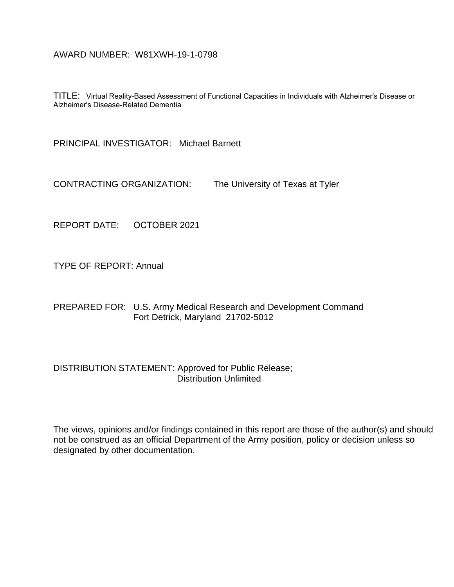# AWARD NUMBER: W81XWH-19-1-0798

TITLE: Virtual Reality-Based Assessment of Functional Capacities in Individuals with Alzheimer's Disease or Alzheimer's Disease-Related Dementia

PRINCIPAL INVESTIGATOR: Michael Barnett

CONTRACTING ORGANIZATION: The University of Texas at Tyler

REPORT DATE: OCTOBER 2021

TYPE OF REPORT: Annual

PREPARED FOR: U.S. Army Medical Research and Development Command Fort Detrick, Maryland 21702-5012

# DISTRIBUTION STATEMENT: Approved for Public Release; Distribution Unlimited

The views, opinions and/or findings contained in this report are those of the author(s) and should not be construed as an official Department of the Army position, policy or decision unless so designated by other documentation.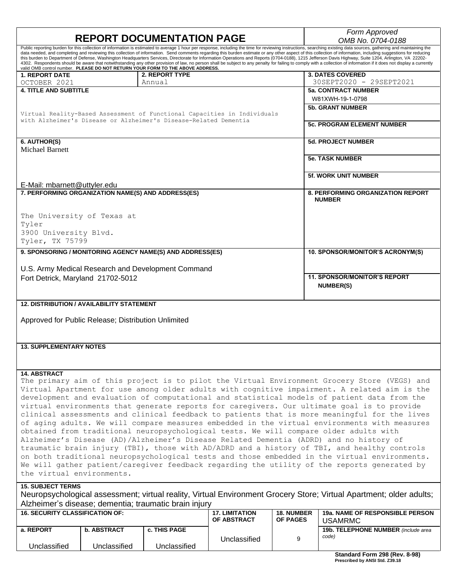| <b>REPORT DOCUMENTATION PAGE</b>                                                                                                                                                                                                                                                         |                     |                       |                   | Form Approved<br>OMB No. 0704-0188                                                                                                                                                                                                                                                                                                                                                                                                                                                                                                                                                                                                                                  |  |  |
|------------------------------------------------------------------------------------------------------------------------------------------------------------------------------------------------------------------------------------------------------------------------------------------|---------------------|-----------------------|-------------------|---------------------------------------------------------------------------------------------------------------------------------------------------------------------------------------------------------------------------------------------------------------------------------------------------------------------------------------------------------------------------------------------------------------------------------------------------------------------------------------------------------------------------------------------------------------------------------------------------------------------------------------------------------------------|--|--|
| this burden to Department of Defense, Washington Headquarters Services, Directorate for Information Operations and Reports (0704-0188), 1215 Jefferson Davis Highway, Suite 1204, Arlington, VA 22202-<br>valid OMB control number. PLEASE DO NOT RETURN YOUR FORM TO THE ABOVE ADDRESS. |                     |                       |                   | Public reporting burden for this collection of information is estimated to average 1 hour per response, including the time for reviewing instructions, searching existing data sources, gathering and maintaining the<br>data needed, and completing and reviewing this collection of information. Send comments regarding this burden estimate or any other aspect of this collection of information, including suggestions for reducing<br>4302. Respondents should be aware that notwithstanding any other provision of law, no person shall be subject to any penalty for failing to comply with a collection of information if it does not display a currently |  |  |
| <b>1. REPORT DATE</b>                                                                                                                                                                                                                                                                    | 2. REPORT TYPE      |                       |                   | <b>3. DATES COVERED</b>                                                                                                                                                                                                                                                                                                                                                                                                                                                                                                                                                                                                                                             |  |  |
| OCTOBER 2021                                                                                                                                                                                                                                                                             | Annual              |                       |                   | 30SEPT2020 - 29SEPT2021                                                                                                                                                                                                                                                                                                                                                                                                                                                                                                                                                                                                                                             |  |  |
| <b>4. TITLE AND SUBTITLE</b>                                                                                                                                                                                                                                                             |                     |                       |                   | <b>5a. CONTRACT NUMBER</b>                                                                                                                                                                                                                                                                                                                                                                                                                                                                                                                                                                                                                                          |  |  |
|                                                                                                                                                                                                                                                                                          |                     |                       |                   | W81XWH-19-1-0798                                                                                                                                                                                                                                                                                                                                                                                                                                                                                                                                                                                                                                                    |  |  |
|                                                                                                                                                                                                                                                                                          |                     |                       |                   | <b>5b. GRANT NUMBER</b>                                                                                                                                                                                                                                                                                                                                                                                                                                                                                                                                                                                                                                             |  |  |
| Virtual Reality-Based Assessment of Functional Capacities in Individuals                                                                                                                                                                                                                 |                     |                       |                   |                                                                                                                                                                                                                                                                                                                                                                                                                                                                                                                                                                                                                                                                     |  |  |
| with Alzheimer's Disease or Alzheimer's Disease-Related Dementia                                                                                                                                                                                                                         |                     |                       |                   | <b>5c. PROGRAM ELEMENT NUMBER</b>                                                                                                                                                                                                                                                                                                                                                                                                                                                                                                                                                                                                                                   |  |  |
| 6. AUTHOR(S)                                                                                                                                                                                                                                                                             |                     |                       |                   | <b>5d. PROJECT NUMBER</b>                                                                                                                                                                                                                                                                                                                                                                                                                                                                                                                                                                                                                                           |  |  |
| <b>Michael Barnett</b>                                                                                                                                                                                                                                                                   |                     |                       |                   |                                                                                                                                                                                                                                                                                                                                                                                                                                                                                                                                                                                                                                                                     |  |  |
|                                                                                                                                                                                                                                                                                          |                     |                       |                   | <b>5e. TASK NUMBER</b>                                                                                                                                                                                                                                                                                                                                                                                                                                                                                                                                                                                                                                              |  |  |
|                                                                                                                                                                                                                                                                                          |                     |                       |                   |                                                                                                                                                                                                                                                                                                                                                                                                                                                                                                                                                                                                                                                                     |  |  |
|                                                                                                                                                                                                                                                                                          |                     |                       |                   | <b>5f. WORK UNIT NUMBER</b>                                                                                                                                                                                                                                                                                                                                                                                                                                                                                                                                                                                                                                         |  |  |
|                                                                                                                                                                                                                                                                                          |                     |                       |                   |                                                                                                                                                                                                                                                                                                                                                                                                                                                                                                                                                                                                                                                                     |  |  |
| E-Mail: mbarnett@uttyler.edu                                                                                                                                                                                                                                                             |                     |                       |                   |                                                                                                                                                                                                                                                                                                                                                                                                                                                                                                                                                                                                                                                                     |  |  |
| 7. PERFORMING ORGANIZATION NAME(S) AND ADDRESS(ES)                                                                                                                                                                                                                                       |                     |                       |                   | <b>8. PERFORMING ORGANIZATION REPORT</b>                                                                                                                                                                                                                                                                                                                                                                                                                                                                                                                                                                                                                            |  |  |
|                                                                                                                                                                                                                                                                                          |                     |                       |                   | <b>NUMBER</b>                                                                                                                                                                                                                                                                                                                                                                                                                                                                                                                                                                                                                                                       |  |  |
|                                                                                                                                                                                                                                                                                          |                     |                       |                   |                                                                                                                                                                                                                                                                                                                                                                                                                                                                                                                                                                                                                                                                     |  |  |
| The University of Texas at                                                                                                                                                                                                                                                               |                     |                       |                   |                                                                                                                                                                                                                                                                                                                                                                                                                                                                                                                                                                                                                                                                     |  |  |
| Tyler                                                                                                                                                                                                                                                                                    |                     |                       |                   |                                                                                                                                                                                                                                                                                                                                                                                                                                                                                                                                                                                                                                                                     |  |  |
| 3900 University Blvd.                                                                                                                                                                                                                                                                    |                     |                       |                   |                                                                                                                                                                                                                                                                                                                                                                                                                                                                                                                                                                                                                                                                     |  |  |
| Tyler, TX 75799                                                                                                                                                                                                                                                                          |                     |                       |                   |                                                                                                                                                                                                                                                                                                                                                                                                                                                                                                                                                                                                                                                                     |  |  |
| 9. SPONSORING / MONITORING AGENCY NAME(S) AND ADDRESS(ES)                                                                                                                                                                                                                                |                     |                       |                   | 10. SPONSOR/MONITOR'S ACRONYM(S)                                                                                                                                                                                                                                                                                                                                                                                                                                                                                                                                                                                                                                    |  |  |
|                                                                                                                                                                                                                                                                                          |                     |                       |                   |                                                                                                                                                                                                                                                                                                                                                                                                                                                                                                                                                                                                                                                                     |  |  |
| U.S. Army Medical Research and Development Command                                                                                                                                                                                                                                       |                     |                       |                   |                                                                                                                                                                                                                                                                                                                                                                                                                                                                                                                                                                                                                                                                     |  |  |
| Fort Detrick, Maryland 21702-5012                                                                                                                                                                                                                                                        |                     |                       |                   | <b>11. SPONSOR/MONITOR'S REPORT</b>                                                                                                                                                                                                                                                                                                                                                                                                                                                                                                                                                                                                                                 |  |  |
|                                                                                                                                                                                                                                                                                          |                     |                       |                   | <b>NUMBER(S)</b>                                                                                                                                                                                                                                                                                                                                                                                                                                                                                                                                                                                                                                                    |  |  |
|                                                                                                                                                                                                                                                                                          |                     |                       |                   |                                                                                                                                                                                                                                                                                                                                                                                                                                                                                                                                                                                                                                                                     |  |  |
| <b>12. DISTRIBUTION / AVAILABILITY STATEMENT</b>                                                                                                                                                                                                                                         |                     |                       |                   |                                                                                                                                                                                                                                                                                                                                                                                                                                                                                                                                                                                                                                                                     |  |  |
|                                                                                                                                                                                                                                                                                          |                     |                       |                   |                                                                                                                                                                                                                                                                                                                                                                                                                                                                                                                                                                                                                                                                     |  |  |
|                                                                                                                                                                                                                                                                                          |                     |                       |                   |                                                                                                                                                                                                                                                                                                                                                                                                                                                                                                                                                                                                                                                                     |  |  |
| Approved for Public Release; Distribution Unlimited                                                                                                                                                                                                                                      |                     |                       |                   |                                                                                                                                                                                                                                                                                                                                                                                                                                                                                                                                                                                                                                                                     |  |  |
|                                                                                                                                                                                                                                                                                          |                     |                       |                   |                                                                                                                                                                                                                                                                                                                                                                                                                                                                                                                                                                                                                                                                     |  |  |
|                                                                                                                                                                                                                                                                                          |                     |                       |                   |                                                                                                                                                                                                                                                                                                                                                                                                                                                                                                                                                                                                                                                                     |  |  |
| <b>13. SUPPLEMENTARY NOTES</b>                                                                                                                                                                                                                                                           |                     |                       |                   |                                                                                                                                                                                                                                                                                                                                                                                                                                                                                                                                                                                                                                                                     |  |  |
|                                                                                                                                                                                                                                                                                          |                     |                       |                   |                                                                                                                                                                                                                                                                                                                                                                                                                                                                                                                                                                                                                                                                     |  |  |
|                                                                                                                                                                                                                                                                                          |                     |                       |                   |                                                                                                                                                                                                                                                                                                                                                                                                                                                                                                                                                                                                                                                                     |  |  |
| <b>14. ABSTRACT</b>                                                                                                                                                                                                                                                                      |                     |                       |                   |                                                                                                                                                                                                                                                                                                                                                                                                                                                                                                                                                                                                                                                                     |  |  |
|                                                                                                                                                                                                                                                                                          |                     |                       |                   |                                                                                                                                                                                                                                                                                                                                                                                                                                                                                                                                                                                                                                                                     |  |  |
| The primary aim of this project is to pilot the Virtual Environment Grocery Store (VEGS) and<br>Virtual Apartment for use among older adults with cognitive impairment. A related aim is the                                                                                             |                     |                       |                   |                                                                                                                                                                                                                                                                                                                                                                                                                                                                                                                                                                                                                                                                     |  |  |
| development and evaluation of computational and statistical models of patient data from the                                                                                                                                                                                              |                     |                       |                   |                                                                                                                                                                                                                                                                                                                                                                                                                                                                                                                                                                                                                                                                     |  |  |
| virtual environments that generate reports for caregivers. Our ultimate goal is to provide                                                                                                                                                                                               |                     |                       |                   |                                                                                                                                                                                                                                                                                                                                                                                                                                                                                                                                                                                                                                                                     |  |  |
|                                                                                                                                                                                                                                                                                          |                     |                       |                   |                                                                                                                                                                                                                                                                                                                                                                                                                                                                                                                                                                                                                                                                     |  |  |
| clinical assessments and clinical feedback to patients that is more meaningful for the lives                                                                                                                                                                                             |                     |                       |                   |                                                                                                                                                                                                                                                                                                                                                                                                                                                                                                                                                                                                                                                                     |  |  |
| of aging adults. We will compare measures embedded in the virtual environments with measures                                                                                                                                                                                             |                     |                       |                   |                                                                                                                                                                                                                                                                                                                                                                                                                                                                                                                                                                                                                                                                     |  |  |
| obtained from traditional neuropsychological tests. We will compare older adults with                                                                                                                                                                                                    |                     |                       |                   |                                                                                                                                                                                                                                                                                                                                                                                                                                                                                                                                                                                                                                                                     |  |  |
| Alzheimer's Disease (AD)/Alzheimer's Disease Related Dementia (ADRD) and no history of                                                                                                                                                                                                   |                     |                       |                   |                                                                                                                                                                                                                                                                                                                                                                                                                                                                                                                                                                                                                                                                     |  |  |
| traumatic brain injury (TBI), those with AD/ADRD and a history of TBI, and healthy controls                                                                                                                                                                                              |                     |                       |                   |                                                                                                                                                                                                                                                                                                                                                                                                                                                                                                                                                                                                                                                                     |  |  |
| on both traditional neuropsychological tests and those embedded in the virtual environments.                                                                                                                                                                                             |                     |                       |                   |                                                                                                                                                                                                                                                                                                                                                                                                                                                                                                                                                                                                                                                                     |  |  |
| We will gather patient/caregiver feedback regarding the utility of the reports generated by                                                                                                                                                                                              |                     |                       |                   |                                                                                                                                                                                                                                                                                                                                                                                                                                                                                                                                                                                                                                                                     |  |  |
| the virtual environments.                                                                                                                                                                                                                                                                |                     |                       |                   |                                                                                                                                                                                                                                                                                                                                                                                                                                                                                                                                                                                                                                                                     |  |  |
| <b>15. SUBJECT TERMS</b>                                                                                                                                                                                                                                                                 |                     |                       |                   |                                                                                                                                                                                                                                                                                                                                                                                                                                                                                                                                                                                                                                                                     |  |  |
| Neuropsychological assessment; virtual reality, Virtual Environment Grocery Store; Virtual Apartment; older adults;                                                                                                                                                                      |                     |                       |                   |                                                                                                                                                                                                                                                                                                                                                                                                                                                                                                                                                                                                                                                                     |  |  |
|                                                                                                                                                                                                                                                                                          |                     |                       |                   |                                                                                                                                                                                                                                                                                                                                                                                                                                                                                                                                                                                                                                                                     |  |  |
| Alzheimer's disease; dementia; traumatic brain injury                                                                                                                                                                                                                                    |                     |                       |                   |                                                                                                                                                                                                                                                                                                                                                                                                                                                                                                                                                                                                                                                                     |  |  |
| <b>16. SECURITY CLASSIFICATION OF:</b>                                                                                                                                                                                                                                                   |                     | <b>17. LIMITATION</b> | <b>18. NUMBER</b> | <b>19a. NAME OF RESPONSIBLE PERSON</b>                                                                                                                                                                                                                                                                                                                                                                                                                                                                                                                                                                                                                              |  |  |
|                                                                                                                                                                                                                                                                                          |                     | OF ABSTRACT           | OF PAGES          | <b>USAMRMC</b>                                                                                                                                                                                                                                                                                                                                                                                                                                                                                                                                                                                                                                                      |  |  |
| <b>b. ABSTRACT</b><br>a. REPORT                                                                                                                                                                                                                                                          | <b>c. THIS PAGE</b> |                       |                   | 19b. TELEPHONE NUMBER (include area                                                                                                                                                                                                                                                                                                                                                                                                                                                                                                                                                                                                                                 |  |  |

Unclassified

Unclassified

Unclassified

Unclassified

*code)*

9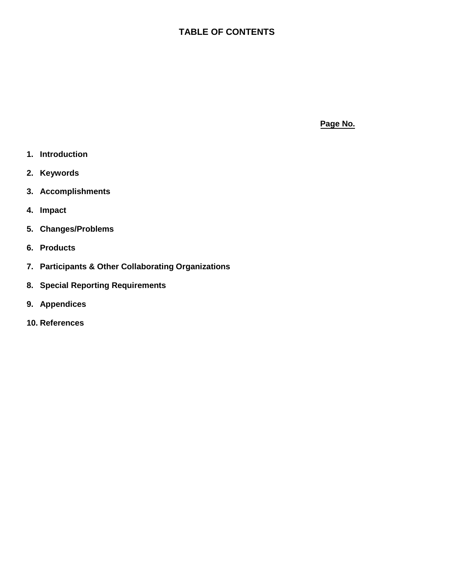# **TABLE OF CONTENTS**

**Page No.**

- **1. Introduction**
- **2. Keywords**
- **3. Accomplishments**
- **4. Impact**
- **5. Changes/Problems**
- **6. Products**
- **7. Participants & Other Collaborating Organizations**
- **8. Special Reporting Requirements**
- **9. Appendices**
- **10. References**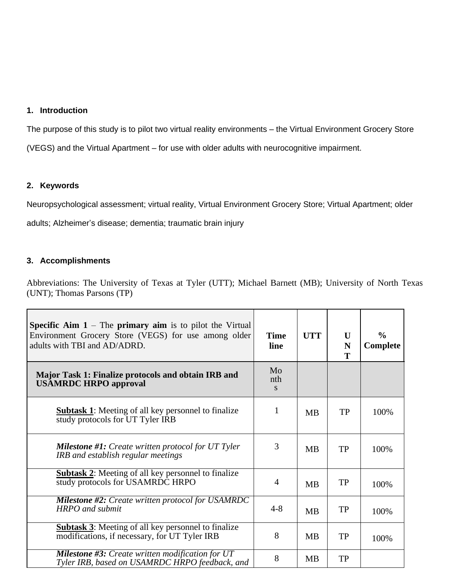### **1. Introduction**

The purpose of this study is to pilot two virtual reality environments – the Virtual Environment Grocery Store (VEGS) and the Virtual Apartment – for use with older adults with neurocognitive impairment.

### **2. Keywords**

Neuropsychological assessment; virtual reality, Virtual Environment Grocery Store; Virtual Apartment; older

adults; Alzheimer's disease; dementia; traumatic brain injury

# **3. Accomplishments**

Abbreviations: The University of Texas at Tyler (UTT); Michael Barnett (MB); University of North Texas (UNT); Thomas Parsons (TP)

| <b>Specific Aim 1</b> – The <b>primary aim</b> is to pilot the Virtual<br>Environment Grocery Store (VEGS) for use among older<br>adults with TBI and AD/ADRD. | <b>Time</b><br>line | <b>UTT</b> | U<br>N<br>T | $\frac{0}{0}$<br>Complete |
|----------------------------------------------------------------------------------------------------------------------------------------------------------------|---------------------|------------|-------------|---------------------------|
| Major Task 1: Finalize protocols and obtain IRB and<br><b>USAMRDC HRPO approval</b>                                                                            | Mo<br>nth<br>S.     |            |             |                           |
| <b>Subtask 1:</b> Meeting of all key personnel to finalize<br>study protocols for UT Tyler IRB                                                                 | 1                   | <b>MB</b>  | <b>TP</b>   | 100%                      |
| <b>Milestone #1:</b> Create written protocol for $UT$ Tyler<br>IRB and establish regular meetings                                                              | 3                   | <b>MB</b>  | TP          | 100%                      |
| <b>Subtask 2:</b> Meeting of all key personnel to finalize<br>study protocols for USAMRDC HRPO                                                                 | $\overline{4}$      | <b>MB</b>  | TP          | 100%                      |
| <b>Milestone #2:</b> Create written protocol for USAMRDC<br><b>HRPO</b> and submit                                                                             | $4 - 8$             | <b>MB</b>  | TP          | 100%                      |
| <b>Subtask 3:</b> Meeting of all key personnel to finalize<br>modifications, if necessary, for UT Tyler IRB                                                    | 8                   | <b>MB</b>  | TP          | 100%                      |
| <b>Milestone #3:</b> Create written modification for UT<br>Tyler IRB, based on USAMRDC HRPO feedback, and                                                      | 8                   | <b>MB</b>  | <b>TP</b>   |                           |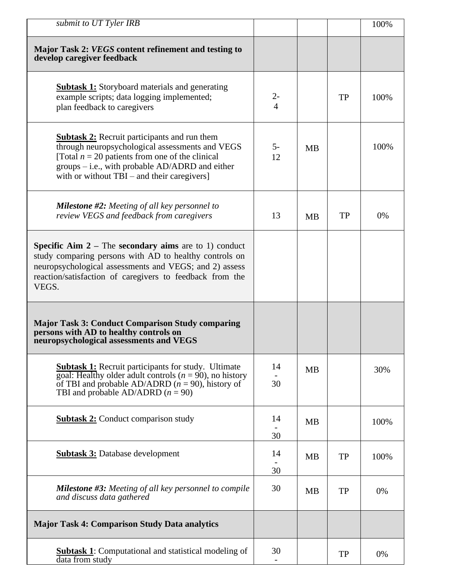| submit to UT Tyler IRB                                                                                                                                                                                                                                          |                                |           |           | 100%  |
|-----------------------------------------------------------------------------------------------------------------------------------------------------------------------------------------------------------------------------------------------------------------|--------------------------------|-----------|-----------|-------|
| Major Task 2: VEGS content refinement and testing to<br>develop caregiver feedback                                                                                                                                                                              |                                |           |           |       |
| <b>Subtask 1:</b> Storyboard materials and generating<br>example scripts; data logging implemented;<br>plan feedback to caregivers                                                                                                                              | $2 -$<br>$\overline{4}$        |           | <b>TP</b> | 100%  |
| <b>Subtask 2:</b> Recruit participants and run them<br>through neuropsychological assessments and VEGS<br>[Total $n = 20$ patients from one of the clinical<br>groups $-$ i.e., with probable AD/ADRD and either<br>with or without TBI – and their caregivers] | $5-$<br>12                     | <b>MB</b> |           | 100%  |
| <b>Milestone #2:</b> Meeting of all key personnel to<br>review VEGS and feedback from caregivers                                                                                                                                                                | 13                             | <b>MB</b> | TP        | $0\%$ |
| <b>Specific Aim 2</b> – The <b>secondary aims</b> are to 1) conduct<br>study comparing persons with AD to healthy controls on<br>neuropsychological assessments and VEGS; and 2) assess<br>reaction/satisfaction of caregivers to feedback from the<br>VEGS.    |                                |           |           |       |
| <b>Major Task 3: Conduct Comparison Study comparing</b><br>persons with AD to healthy controls on<br>neuropsychological assessments and VEGS                                                                                                                    |                                |           |           |       |
| <b>Subtask 1:</b> Recruit participants for study. Ultimate<br>goal: Healthy older adult controls ( $n = 90$ ), no history<br>of TBI and probable AD/ADRD $(n = 90)$ , history of<br>TBI and probable AD/ADRD $(n = 90)$                                         | 14<br>30                       | <b>MB</b> |           | 30%   |
| <b>Subtask 2:</b> Conduct comparison study                                                                                                                                                                                                                      | 14<br>30                       | <b>MB</b> |           | 100%  |
| <b>Subtask 3:</b> Database development                                                                                                                                                                                                                          | 14<br>30                       | <b>MB</b> | <b>TP</b> | 100%  |
| <b>Milestone #3:</b> Meeting of all key personnel to compile<br>and discuss data gathered                                                                                                                                                                       | 30                             | <b>MB</b> | <b>TP</b> | 0%    |
| <b>Major Task 4: Comparison Study Data analytics</b>                                                                                                                                                                                                            |                                |           |           |       |
| <b>Subtask 1:</b> Computational and statistical modeling of<br>data from study                                                                                                                                                                                  | 30<br>$\overline{\phantom{a}}$ |           | <b>TP</b> | 0%    |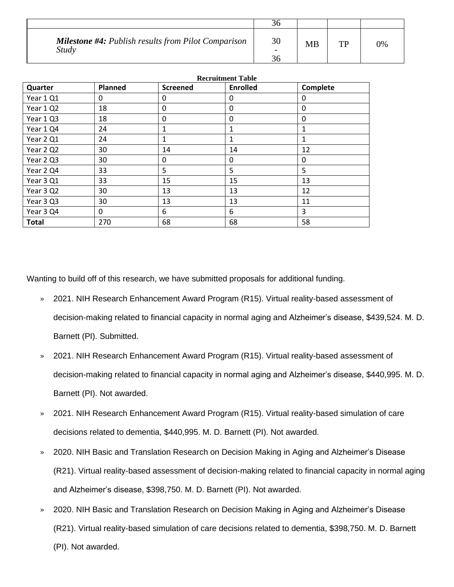| <b>Milestone #4: Publish results from Pilot Comparison</b><br><b>Study</b> | 30 | <b>MB</b> | TD | 0% |
|----------------------------------------------------------------------------|----|-----------|----|----|

|              | <b>Recruitment Table</b> |                 |                 |              |
|--------------|--------------------------|-----------------|-----------------|--------------|
| Quarter      | <b>Planned</b>           | <b>Screened</b> | <b>Enrolled</b> | Complete     |
| Year 1 Q1    | 0                        | 0               | 0               | 0            |
| Year 1 Q2    | 18                       | 0               | 0               | 0            |
| Year 1 Q3    | 18                       | 0               | 0               | 0            |
| Year 1 Q4    | 24                       | 1               | 1               | 1            |
| Year 2 Q1    | 24                       | 1               | 1               | $\mathbf{1}$ |
| Year 2 Q2    | 30                       | 14              | 14              | 12           |
| Year 2Q3     | 30                       | $\mathbf{0}$    | 0               | 0            |
| Year 2 Q4    | 33                       | 5               | 5               | 5            |
| Year 3 Q1    | 33                       | 15              | 15              | 13           |
| Year 3 Q2    | 30                       | 13              | 13              | 12           |
| Year 3Q3     | 30                       | 13              | 13              | 11           |
| Year 3 Q4    | 0                        | 6               | 6               | 3            |
| <b>Total</b> | 270                      | 68              | 68              | 58           |

Wanting to build off of this research, we have submitted proposals for additional funding.

- » 2021. NIH Research Enhancement Award Program (R15). Virtual reality-based assessment of decision-making related to financial capacity in normal aging and Alzheimer's disease, \$439,524. M. D. Barnett (PI). Submitted.
- » 2021. NIH Research Enhancement Award Program (R15). Virtual reality-based assessment of decision-making related to financial capacity in normal aging and Alzheimer's disease, \$440,995. M. D. Barnett (PI). Not awarded.
- » 2021. NIH Research Enhancement Award Program (R15). Virtual reality-based simulation of care decisions related to dementia, \$440,995. M. D. Barnett (PI). Not awarded.
- » 2020. NIH Basic and Translation Research on Decision Making in Aging and Alzheimer's Disease (R21). Virtual reality-based assessment of decision-making related to financial capacity in normal aging and Alzheimer's disease, \$398,750. M. D. Barnett (PI). Not awarded.
- » 2020. NIH Basic and Translation Research on Decision Making in Aging and Alzheimer's Disease (R21). Virtual reality-based simulation of care decisions related to dementia, \$398,750. M. D. Barnett (PI). Not awarded.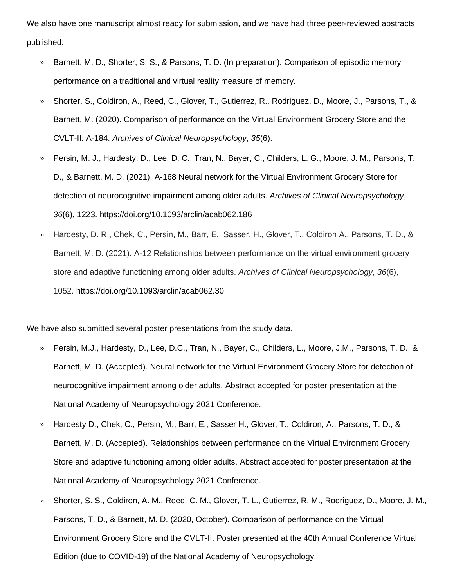We also have one manuscript almost ready for submission, and we have had three peer-reviewed abstracts published:

- » Barnett, M. D., Shorter, S. S., & Parsons, T. D. (In preparation). Comparison of episodic memory performance on a traditional and virtual reality measure of memory.
- » Shorter, S., Coldiron, A., Reed, C., Glover, T., Gutierrez, R., Rodriguez, D., Moore, J., Parsons, T., & Barnett, M. (2020). Comparison of performance on the Virtual Environment Grocery Store and the CVLT-II: A-184. *Archives of Clinical Neuropsychology*, *35*(6).
- » Persin, M. J., Hardesty, D., Lee, D. C., Tran, N., Bayer, C., Childers, L. G., Moore, J. M., Parsons, T. D., & Barnett, M. D. (2021). A-168 Neural network for the Virtual Environment Grocery Store for detection of neurocognitive impairment among older adults. *Archives of Clinical Neuropsychology*, *36*(6), 1223. https://doi.org/10.1093/arclin/acab062.186
- » Hardesty, D. R., Chek, C., Persin, M., Barr, E., Sasser, H., Glover, T., Coldiron A., Parsons, T. D., & Barnett, M. D. (2021). A-12 Relationships between performance on the virtual environment grocery store and adaptive functioning among older adults. *Archives of Clinical Neuropsychology*, *36*(6), 1052. https://doi.org/10.1093/arclin/acab062.30

We have also submitted several poster presentations from the study data.

- » Persin, M.J., Hardesty, D., Lee, D.C., Tran, N., Bayer, C., Childers, L., Moore, J.M., Parsons, T. D., & Barnett, M. D. (Accepted). Neural network for the Virtual Environment Grocery Store for detection of neurocognitive impairment among older adults. Abstract accepted for poster presentation at the National Academy of Neuropsychology 2021 Conference.
- » Hardesty D., Chek, C., Persin, M., Barr, E., Sasser H., Glover, T., Coldiron, A., Parsons, T. D., & Barnett, M. D. (Accepted). Relationships between performance on the Virtual Environment Grocery Store and adaptive functioning among older adults. Abstract accepted for poster presentation at the National Academy of Neuropsychology 2021 Conference.
- » Shorter, S. S., Coldiron, A. M., Reed, C. M., Glover, T. L., Gutierrez, R. M., Rodriguez, D., Moore, J. M., Parsons, T. D., & Barnett, M. D. (2020, October). Comparison of performance on the Virtual Environment Grocery Store and the CVLT-II. Poster presented at the 40th Annual Conference Virtual Edition (due to COVID-19) of the National Academy of Neuropsychology.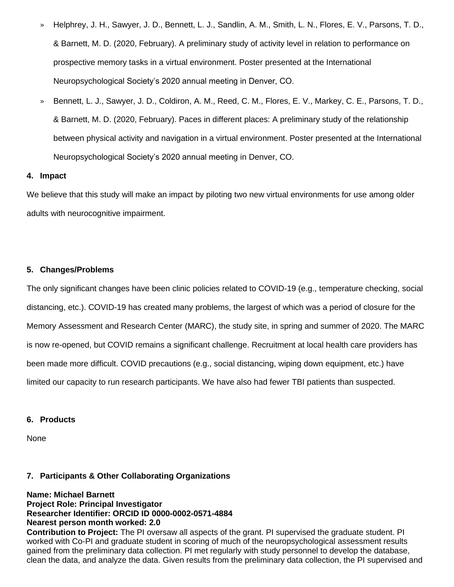- » Helphrey, J. H., Sawyer, J. D., Bennett, L. J., Sandlin, A. M., Smith, L. N., Flores, E. V., Parsons, T. D., & Barnett, M. D. (2020, February). A preliminary study of activity level in relation to performance on prospective memory tasks in a virtual environment. Poster presented at the International Neuropsychological Society's 2020 annual meeting in Denver, CO.
- » Bennett, L. J., Sawyer, J. D., Coldiron, A. M., Reed, C. M., Flores, E. V., Markey, C. E., Parsons, T. D., & Barnett, M. D. (2020, February). Paces in different places: A preliminary study of the relationship between physical activity and navigation in a virtual environment. Poster presented at the International Neuropsychological Society's 2020 annual meeting in Denver, CO.

#### **4. Impact**

We believe that this study will make an impact by piloting two new virtual environments for use among older adults with neurocognitive impairment.

#### **5. Changes/Problems**

The only significant changes have been clinic policies related to COVID-19 (e.g., temperature checking, social distancing, etc.). COVID-19 has created many problems, the largest of which was a period of closure for the Memory Assessment and Research Center (MARC), the study site, in spring and summer of 2020. The MARC is now re-opened, but COVID remains a significant challenge. Recruitment at local health care providers has been made more difficult. COVID precautions (e.g., social distancing, wiping down equipment, etc.) have limited our capacity to run research participants. We have also had fewer TBI patients than suspected.

#### **6. Products**

None

#### **7. Participants & Other Collaborating Organizations**

**Name: Michael Barnett Project Role: Principal Investigator Researcher Identifier: ORCID ID 0000-0002-0571-4884 Nearest person month worked: 2.0**

**Contribution to Project:** The PI oversaw all aspects of the grant. PI supervised the graduate student. PI worked with Co-PI and graduate student in scoring of much of the neuropsychological assessment results gained from the preliminary data collection. PI met regularly with study personnel to develop the database, clean the data, and analyze the data. Given results from the preliminary data collection, the PI supervised and